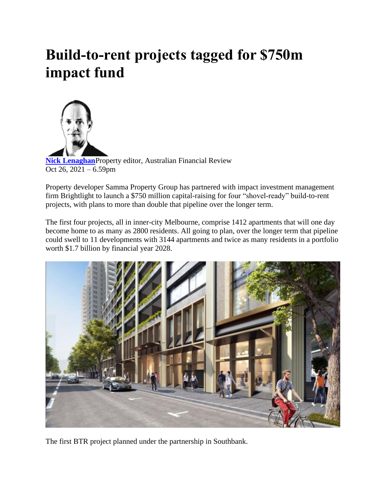## **Build-to-rent projects tagged for \$750m impact fund**



**[Nick Lenaghan](https://www.afr.com/by/nick-lenaghan-j7gcq)**Property editor, Australian Financial Review Oct 26,  $2021 - 6.59$ pm

Property developer Samma Property Group has partnered with impact investment management firm Brightlight to launch a \$750 million capital-raising for four "shovel-ready" build-to-rent projects, with plans to more than double that pipeline over the longer term.

The first four projects, all in inner-city Melbourne, comprise 1412 apartments that will one day become home to as many as 2800 residents. All going to plan, over the longer term that pipeline could swell to 11 developments with 3144 apartments and twice as many residents in a portfolio worth \$1.7 billion by financial year 2028.



The first BTR project planned under the partnership in Southbank.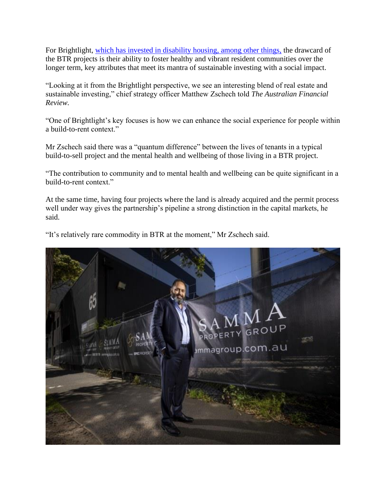For Brightlight, [which has invested in disability housing, among other things,](https://www.afr.com/property/commercial/specialist-disability-accommodation-gets-40m-boost-20190807-p52eu5) the drawcard of the BTR projects is their ability to foster healthy and vibrant resident communities over the longer term, key attributes that meet its mantra of sustainable investing with a social impact.

"Looking at it from the Brightlight perspective, we see an interesting blend of real estate and sustainable investing," chief strategy officer Matthew Zschech told *The Australian Financial Review.*

"One of Brightlight's key focuses is how we can enhance the social experience for people within a build-to-rent context."

Mr Zschech said there was a "quantum difference" between the lives of tenants in a typical build-to-sell project and the mental health and wellbeing of those living in a BTR project.

"The contribution to community and to mental health and wellbeing can be quite significant in a build-to-rent context."

At the same time, having four projects where the land is already acquired and the permit process well under way gives the partnership's pipeline a strong distinction in the capital markets, he said.

"It's relatively rare commodity in BTR at the moment," Mr Zschech said.